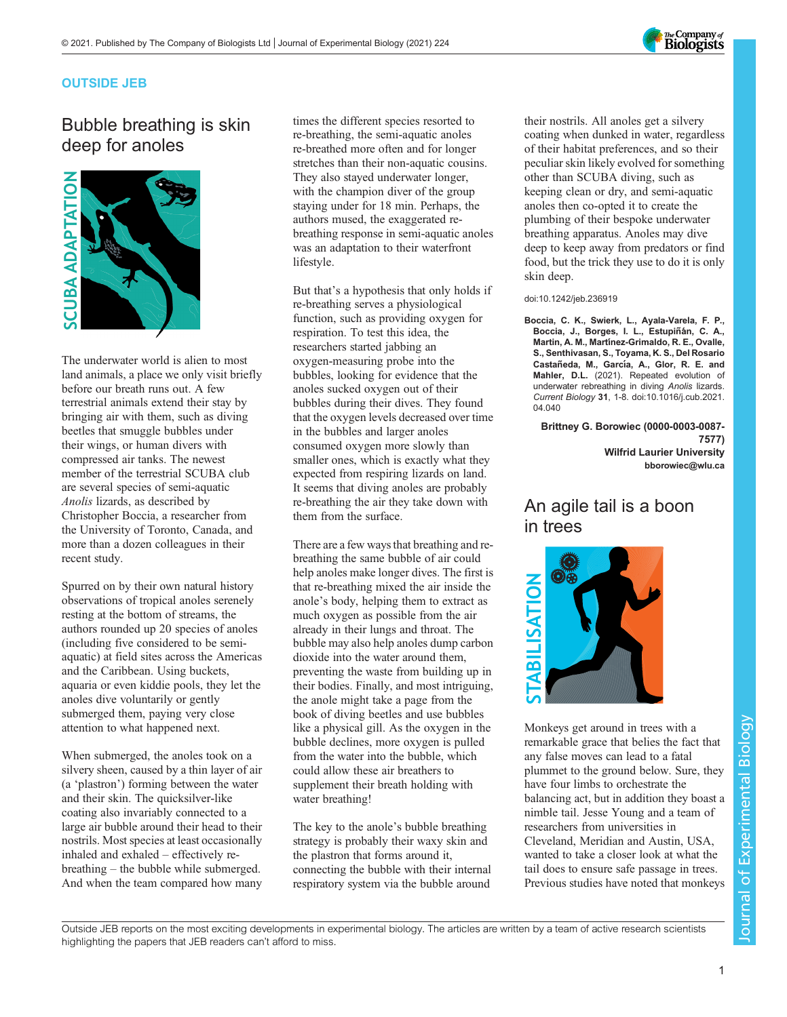

### OUTSIDE JEB

# Bubble breathing is skin deep for anoles



The underwater world is alien to most land animals, a place we only visit briefly before our breath runs out. A few terrestrial animals extend their stay by bringing air with them, such as diving beetles that smuggle bubbles under their wings, or human divers with compressed air tanks. The newest member of the terrestrial SCUBA club are several species of semi-aquatic Anolis lizards, as described by Christopher Boccia, a researcher from the University of Toronto, Canada, and more than a dozen colleagues in their recent study.

Spurred on by their own natural history observations of tropical anoles serenely resting at the bottom of streams, the authors rounded up 20 species of anoles (including five considered to be semiaquatic) at field sites across the Americas and the Caribbean. Using buckets, aquaria or even kiddie pools, they let the anoles dive voluntarily or gently submerged them, paying very close attention to what happened next.

When submerged, the anoles took on a silvery sheen, caused by a thin layer of air (a 'plastron') forming between the water and their skin. The quicksilver-like coating also invariably connected to a large air bubble around their head to their nostrils. Most species at least occasionally inhaled and exhaled – effectively rebreathing – the bubble while submerged. And when the team compared how many

times the different species resorted to re-breathing, the semi-aquatic anoles re-breathed more often and for longer stretches than their non-aquatic cousins. They also stayed underwater longer, with the champion diver of the group staying under for 18 min. Perhaps, the authors mused, the exaggerated rebreathing response in semi-aquatic anoles was an adaptation to their waterfront lifestyle.

But that's a hypothesis that only holds if re-breathing serves a physiological function, such as providing oxygen for respiration. To test this idea, the researchers started jabbing an oxygen-measuring probe into the bubbles, looking for evidence that the anoles sucked oxygen out of their bubbles during their dives. They found that the oxygen levels decreased over time in the bubbles and larger anoles consumed oxygen more slowly than smaller ones, which is exactly what they expected from respiring lizards on land. It seems that diving anoles are probably re-breathing the air they take down with them from the surface.

There are a few ways that breathing and rebreathing the same bubble of air could help anoles make longer dives. The first is that re-breathing mixed the air inside the anole's body, helping them to extract as much oxygen as possible from the air already in their lungs and throat. The bubble may also help anoles dump carbon dioxide into the water around them, preventing the waste from building up in their bodies. Finally, and most intriguing, the anole might take a page from the book of diving beetles and use bubbles like a physical gill. As the oxygen in the bubble declines, more oxygen is pulled from the water into the bubble, which could allow these air breathers to supplement their breath holding with water breathing!

The key to the anole's bubble breathing strategy is probably their waxy skin and the plastron that forms around it, connecting the bubble with their internal respiratory system via the bubble around

their nostrils. All anoles get a silvery coating when dunked in water, regardless of their habitat preferences, and so their peculiar skin likely evolved for something other than SCUBA diving, such as keeping clean or dry, and semi-aquatic anoles then co-opted it to create the plumbing of their bespoke underwater breathing apparatus. Anoles may dive deep to keep away from predators or find food, but the trick they use to do it is only skin deep.

#### doi:10.1242/jeb.236919

[Boccia, C. K., Swierk, L., Ayala-Varela, F. P.,](https://doi.org/10.1016/j.cub.2021.04.040) Boccia, J., Borges, I. L., Estupiñán, C. A., Martin, A. M., Martí[nez-Grimaldo, R. E., Ovalle,](https://doi.org/10.1016/j.cub.2021.04.040) [S., Senthivasan, S., Toyama, K. S., Del Rosario](https://doi.org/10.1016/j.cub.2021.04.040) Castañeda, M., Garcí[a, A., Glor, R. E. and](https://doi.org/10.1016/j.cub.2021.04.040) Mahler, D.L. [\(2021\). Repeated evolution of](https://doi.org/10.1016/j.cub.2021.04.040) [underwater rebreathing in diving](https://doi.org/10.1016/j.cub.2021.04.040) Anolis lizards. Current Biology <sup>31</sup>[, 1-8. doi:10.1016/j.cub.2021.](https://doi.org/10.1016/j.cub.2021.04.040) [04.040](https://doi.org/10.1016/j.cub.2021.04.040)

Brittney G. Borowiec [\(0000-0003-0087-](http://orcid.org/0000-0003-0087-7577) [7577](http://orcid.org/0000-0003-0087-7577)) Wilfrid Laurier University [bborowiec@wlu.ca](mailto:bborowiec@wlu.ca)

### An agile tail is a boon in trees



Monkeys get around in trees with a remarkable grace that belies the fact that any false moves can lead to a fatal plummet to the ground below. Sure, they have four limbs to orchestrate the balancing act, but in addition they boast a nimble tail. Jesse Young and a team of researchers from universities in Cleveland, Meridian and Austin, USA, wanted to take a closer look at what the tail does to ensure safe passage in trees. Previous studies have noted that monkeys

Outside JEB reports on the most exciting developments in experimental biology. The articles are written by a team of active research scientists highlighting the papers that JEB readers can't afford to miss.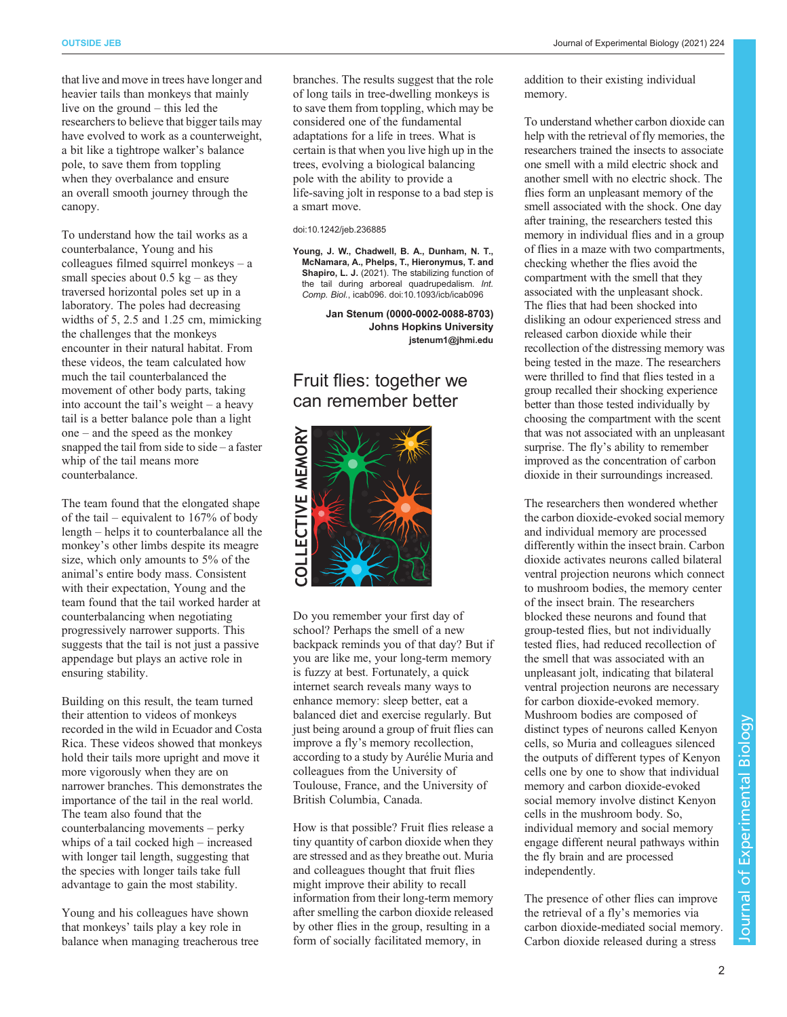that live and move in trees have longer and heavier tails than monkeys that mainly live on the ground – this led the researchers to believe that bigger tails may have evolved to work as a counterweight, a bit like a tightrope walker's balance pole, to save them from toppling when they overbalance and ensure an overall smooth journey through the canopy.

To understand how the tail works as a counterbalance, Young and his colleagues filmed squirrel monkeys – a small species about  $0.5 \text{ kg}$  – as they traversed horizontal poles set up in a laboratory. The poles had decreasing widths of 5, 2.5 and 1.25 cm, mimicking the challenges that the monkeys encounter in their natural habitat. From these videos, the team calculated how much the tail counterbalanced the movement of other body parts, taking into account the tail's weight – a heavy tail is a better balance pole than a light one – and the speed as the monkey snapped the tail from side to side  $-$  a faster whip of the tail means more counterbalance.

The team found that the elongated shape of the tail – equivalent to 167% of body length – helps it to counterbalance all the monkey's other limbs despite its meagre size, which only amounts to 5% of the animal's entire body mass. Consistent with their expectation, Young and the team found that the tail worked harder at counterbalancing when negotiating progressively narrower supports. This suggests that the tail is not just a passive appendage but plays an active role in ensuring stability.

Building on this result, the team turned their attention to videos of monkeys recorded in the wild in Ecuador and Costa Rica. These videos showed that monkeys hold their tails more upright and move it more vigorously when they are on narrower branches. This demonstrates the importance of the tail in the real world. The team also found that the counterbalancing movements – perky whips of a tail cocked high – increased with longer tail length, suggesting that the species with longer tails take full advantage to gain the most stability.

Young and his colleagues have shown that monkeys' tails play a key role in balance when managing treacherous tree branches. The results suggest that the role of long tails in tree-dwelling monkeys is to save them from toppling, which may be considered one of the fundamental adaptations for a life in trees. What is certain is that when you live high up in the trees, evolving a biological balancing pole with the ability to provide a life-saving jolt in response to a bad step is a smart move.

#### doi:10.1242/jeb.236885

[Young, J. W., Chadwell, B. A., Dunham, N. T.,](https://doi.org/10.1093/icb/icab096) [McNamara, A., Phelps, T., Hieronymus, T. and](https://doi.org/10.1093/icb/icab096) Shapiro, L. J. [\(2021\). The stabilizing function of](https://doi.org/10.1093/icb/icab096) [the tail during arboreal quadrupedalism.](https://doi.org/10.1093/icb/icab096) Int. Comp. Biol.[, icab096. doi:10.1093/icb/icab096](https://doi.org/10.1093/icb/icab096)

> Jan Stenum [\(0000-0002-0088-8703](http://orcid.org/0000-0002-0088-8703)) Johns Hopkins University [jstenum1@jhmi.edu](mailto:jstenum1@jhmi.edu)

### Fruit flies: together we can remember better



Do you remember your first day of school? Perhaps the smell of a new backpack reminds you of that day? But if you are like me, your long-term memory is fuzzy at best. Fortunately, a quick internet search reveals many ways to enhance memory: sleep better, eat a balanced diet and exercise regularly. But just being around a group of fruit flies can improve a fly's memory recollection, according to a study by Aurélie Muria and colleagues from the University of Toulouse, France, and the University of British Columbia, Canada.

How is that possible? Fruit flies release a tiny quantity of carbon dioxide when they are stressed and as they breathe out. Muria and colleagues thought that fruit flies might improve their ability to recall information from their long-term memory after smelling the carbon dioxide released by other flies in the group, resulting in a form of socially facilitated memory, in

addition to their existing individual memory.

To understand whether carbon dioxide can help with the retrieval of fly memories, the researchers trained the insects to associate one smell with a mild electric shock and another smell with no electric shock. The flies form an unpleasant memory of the smell associated with the shock. One day after training, the researchers tested this memory in individual flies and in a group of flies in a maze with two compartments, checking whether the flies avoid the compartment with the smell that they associated with the unpleasant shock. The flies that had been shocked into disliking an odour experienced stress and released carbon dioxide while their recollection of the distressing memory was being tested in the maze. The researchers were thrilled to find that flies tested in a group recalled their shocking experience better than those tested individually by choosing the compartment with the scent that was not associated with an unpleasant surprise. The fly's ability to remember improved as the concentration of carbon dioxide in their surroundings increased.

The researchers then wondered whether the carbon dioxide-evoked social memory and individual memory are processed differently within the insect brain. Carbon dioxide activates neurons called bilateral ventral projection neurons which connect to mushroom bodies, the memory center of the insect brain. The researchers blocked these neurons and found that group-tested flies, but not individually tested flies, had reduced recollection of the smell that was associated with an unpleasant jolt, indicating that bilateral ventral projection neurons are necessary for carbon dioxide-evoked memory. Mushroom bodies are composed of distinct types of neurons called Kenyon cells, so Muria and colleagues silenced the outputs of different types of Kenyon cells one by one to show that individual memory and carbon dioxide-evoked social memory involve distinct Kenyon cells in the mushroom body. So, individual memory and social memory engage different neural pathways within the fly brain and are processed independently.

The presence of other flies can improve the retrieval of a fly's memories via carbon dioxide-mediated social memory. Carbon dioxide released during a stress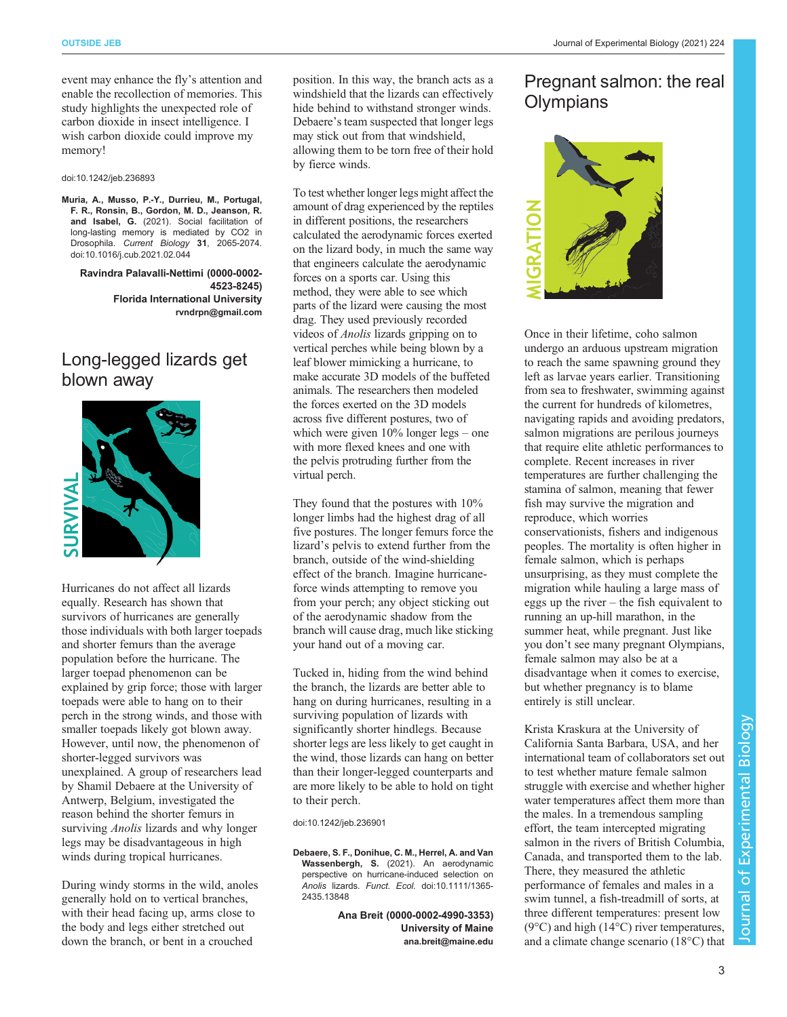OUTSIDE JEB Journal of Experimental Biology (2021) 224

event may enhance the fly's attention and enable the recollection of memories. This study highlights the unexpected role of carbon dioxide in insect intelligence. I wish carbon dioxide could improve my memory!

doi:10.1242/jeb.236893

[Muria, A., Musso, P.-Y., Durrieu, M., Portugal,](https://doi.org/10.1016/j.cub.2021.02.044) [F. R., Ronsin, B., Gordon, M. D., Jeanson, R.](https://doi.org/10.1016/j.cub.2021.02.044) and Isabel, G. [\(2021\). Social facilitation of](https://doi.org/10.1016/j.cub.2021.02.044) [long-lasting memory is mediated by CO2 in](https://doi.org/10.1016/j.cub.2021.02.044) Drosophila. Current Biology <sup>31</sup>[, 2065-2074.](https://doi.org/10.1016/j.cub.2021.02.044) [doi:10.1016/j.cub.2021.02.044](https://doi.org/10.1016/j.cub.2021.02.044)

Ravindra Palavalli-Nettimi ([0000-0002-](http://orcid.org/0000-0002-4523-8245) [4523-8245](http://orcid.org/0000-0002-4523-8245)) Florida International University [rvndrpn@gmail.com](mailto:rvndrpn@gmail.com)

## Long-legged lizards get blown away



Hurricanes do not affect all lizards equally. Research has shown that survivors of hurricanes are generally those individuals with both larger toepads and shorter femurs than the average population before the hurricane. The larger toepad phenomenon can be explained by grip force; those with larger toepads were able to hang on to their perch in the strong winds, and those with smaller toepads likely got blown away. However, until now, the phenomenon of shorter-legged survivors was unexplained. A group of researchers lead by Shamil Debaere at the University of Antwerp, Belgium, investigated the reason behind the shorter femurs in surviving *Anolis* lizards and why longer legs may be disadvantageous in high winds during tropical hurricanes.

During windy storms in the wild, anoles generally hold on to vertical branches, with their head facing up, arms close to the body and legs either stretched out down the branch, or bent in a crouched

position. In this way, the branch acts as a windshield that the lizards can effectively hide behind to withstand stronger winds. Debaere's team suspected that longer legs may stick out from that windshield, allowing them to be torn free of their hold by fierce winds.

To test whether longer legs might affect the amount of drag experienced by the reptiles in different positions, the researchers calculated the aerodynamic forces exerted on the lizard body, in much the same way that engineers calculate the aerodynamic forces on a sports car. Using this method, they were able to see which parts of the lizard were causing the most drag. They used previously recorded videos of Anolis lizards gripping on to vertical perches while being blown by a leaf blower mimicking a hurricane, to make accurate 3D models of the buffeted animals. The researchers then modeled the forces exerted on the 3D models across five different postures, two of which were given 10% longer legs – one with more flexed knees and one with the pelvis protruding further from the virtual perch.

They found that the postures with 10% longer limbs had the highest drag of all five postures. The longer femurs force the lizard's pelvis to extend further from the branch, outside of the wind-shielding effect of the branch. Imagine hurricaneforce winds attempting to remove you from your perch; any object sticking out of the aerodynamic shadow from the branch will cause drag, much like sticking your hand out of a moving car.

Tucked in, hiding from the wind behind the branch, the lizards are better able to hang on during hurricanes, resulting in a surviving population of lizards with significantly shorter hindlegs. Because shorter legs are less likely to get caught in the wind, those lizards can hang on better than their longer-legged counterparts and are more likely to be able to hold on tight to their perch.

doi:10.1242/jeb.236901

[Debaere, S. F., Donihue, C. M., Herrel, A. and Van](https://doi.org/10.1111/1365-2435.13848) Wassenbergh, S. [\(2021\). An aerodynamic](https://doi.org/10.1111/1365-2435.13848) [perspective on hurricane-induced selection on](https://doi.org/10.1111/1365-2435.13848) Anolis lizards. Funct. Ecol. [doi:10.1111/1365-](https://doi.org/10.1111/1365-2435.13848) [2435.13848](https://doi.org/10.1111/1365-2435.13848)

> Ana Breit [\(0000-0002-4990-3353](http://orcid.org/0000-0002-4990-3353)) University of Maine [ana.breit@maine.edu](mailto:ana.breit@maine.edu)

### Pregnant salmon: the real **Olympians**



Once in their lifetime, coho salmon undergo an arduous upstream migration to reach the same spawning ground they left as larvae years earlier. Transitioning from sea to freshwater, swimming against the current for hundreds of kilometres, navigating rapids and avoiding predators, salmon migrations are perilous journeys that require elite athletic performances to complete. Recent increases in river temperatures are further challenging the stamina of salmon, meaning that fewer fish may survive the migration and reproduce, which worries conservationists, fishers and indigenous peoples. The mortality is often higher in female salmon, which is perhaps unsurprising, as they must complete the migration while hauling a large mass of eggs up the river – the fish equivalent to running an up-hill marathon, in the summer heat, while pregnant. Just like you don't see many pregnant Olympians, female salmon may also be at a disadvantage when it comes to exercise, but whether pregnancy is to blame entirely is still unclear.

Krista Kraskura at the University of California Santa Barbara, USA, and her international team of collaborators set out to test whether mature female salmon struggle with exercise and whether higher water temperatures affect them more than the males. In a tremendous sampling effort, the team intercepted migrating salmon in the rivers of British Columbia, Canada, and transported them to the lab. There, they measured the athletic performance of females and males in a swim tunnel, a fish-treadmill of sorts, at three different temperatures: present low (9°C) and high (14°C) river temperatures, and a climate change scenario (18°C) that